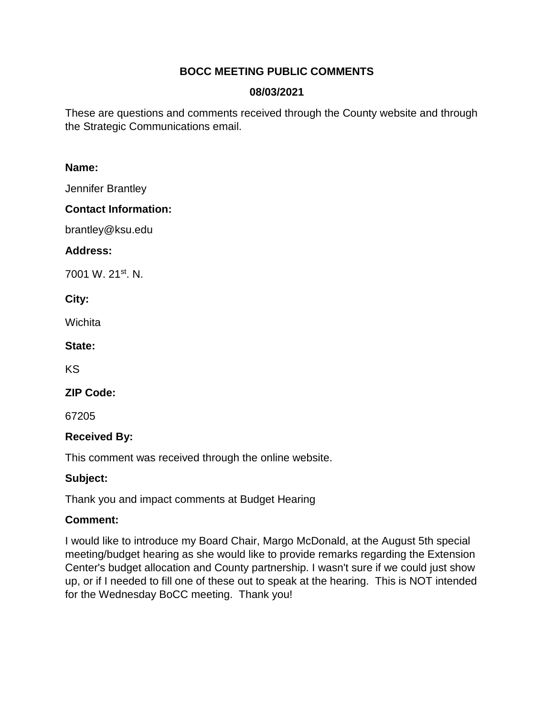### **BOCC MEETING PUBLIC COMMENTS**

### **08/03/2021**

These are questions and comments received through the County website and through the Strategic Communications email.

#### **Name:**

Jennifer Brantley

### **Contact Information:**

brantley@ksu.edu

### **Address:**

7001 W. 21st. N.

### **City:**

Wichita

### **State:**

KS

### **ZIP Code:**

67205

# **Received By:**

This comment was received through the online website.

# **Subject:**

Thank you and impact comments at Budget Hearing

# **Comment:**

I would like to introduce my Board Chair, Margo McDonald, at the August 5th special meeting/budget hearing as she would like to provide remarks regarding the Extension Center's budget allocation and County partnership. I wasn't sure if we could just show up, or if I needed to fill one of these out to speak at the hearing. This is NOT intended for the Wednesday BoCC meeting. Thank you!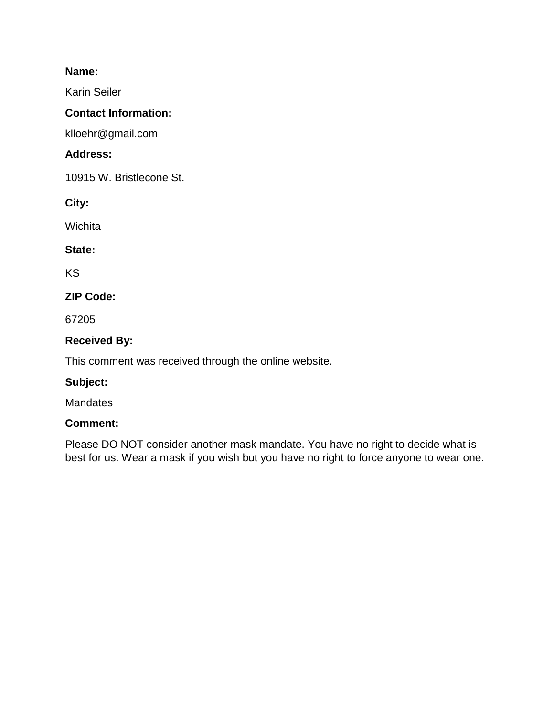#### **Name:**

Karin Seiler

### **Contact Information:**

klloehr@gmail.com

### **Address:**

10915 W. Bristlecone St.

**City:** 

**Wichita** 

### **State:**

KS

# **ZIP Code:**

67205

### **Received By:**

This comment was received through the online website.

### **Subject:**

**Mandates** 

### **Comment:**

Please DO NOT consider another mask mandate. You have no right to decide what is best for us. Wear a mask if you wish but you have no right to force anyone to wear one.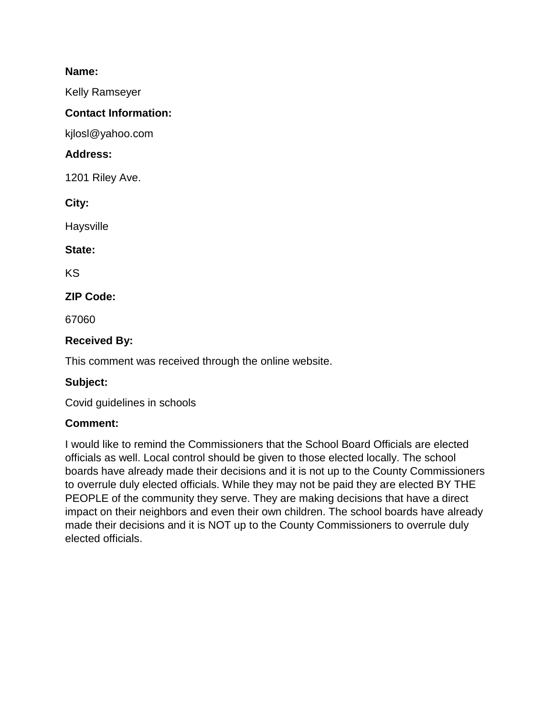#### **Name:**

Kelly Ramseyer

### **Contact Information:**

kjlosl@yahoo.com

### **Address:**

1201 Riley Ave.

**City:** 

**Haysville** 

### **State:**

KS

# **ZIP Code:**

67060

# **Received By:**

This comment was received through the online website.

# **Subject:**

Covid guidelines in schools

# **Comment:**

I would like to remind the Commissioners that the School Board Officials are elected officials as well. Local control should be given to those elected locally. The school boards have already made their decisions and it is not up to the County Commissioners to overrule duly elected officials. While they may not be paid they are elected BY THE PEOPLE of the community they serve. They are making decisions that have a direct impact on their neighbors and even their own children. The school boards have already made their decisions and it is NOT up to the County Commissioners to overrule duly elected officials.